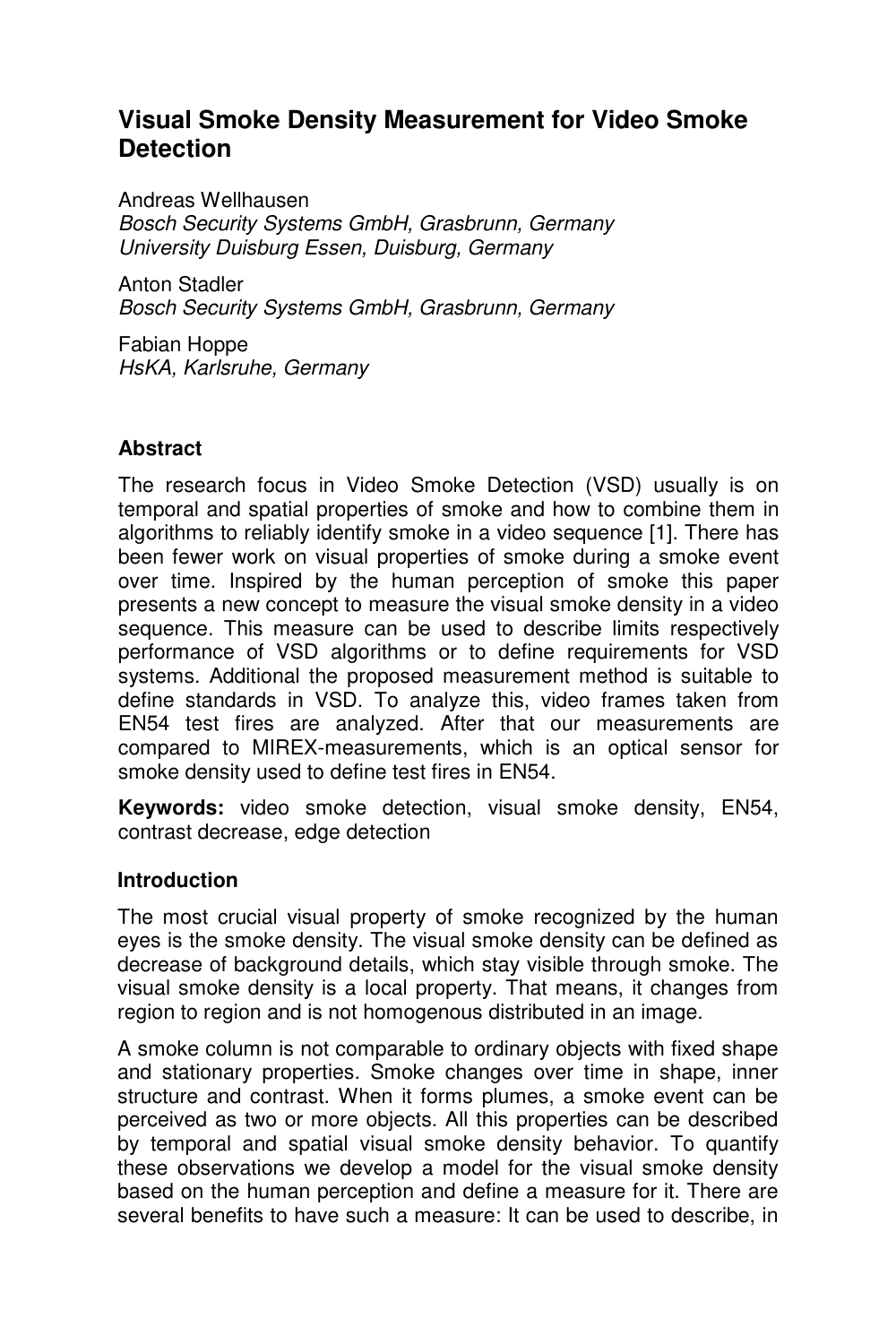# **Visual Smoke Density Measurement for Video Smoke Detection**

Andreas Wellhausen Bosch Security Systems GmbH, Grasbrunn, Germany University Duisburg Essen, Duisburg, Germany

Anton Stadler Bosch Security Systems GmbH, Grasbrunn, Germany

Fabian Hoppe HsKA, Karlsruhe, Germany

## **Abstract**

The research focus in Video Smoke Detection (VSD) usually is on temporal and spatial properties of smoke and how to combine them in algorithms to reliably identify smoke in a video sequence [1]. There has been fewer work on visual properties of smoke during a smoke event over time. Inspired by the human perception of smoke this paper presents a new concept to measure the visual smoke density in a video sequence. This measure can be used to describe limits respectively performance of VSD algorithms or to define requirements for VSD systems. Additional the proposed measurement method is suitable to define standards in VSD. To analyze this, video frames taken from EN54 test fires are analyzed. After that our measurements are compared to MIREX-measurements, which is an optical sensor for smoke density used to define test fires in EN54.

**Keywords:** video smoke detection, visual smoke density, EN54, contrast decrease, edge detection

#### **Introduction**

The most crucial visual property of smoke recognized by the human eyes is the smoke density. The visual smoke density can be defined as decrease of background details, which stay visible through smoke. The visual smoke density is a local property. That means, it changes from region to region and is not homogenous distributed in an image.

A smoke column is not comparable to ordinary objects with fixed shape and stationary properties. Smoke changes over time in shape, inner structure and contrast. When it forms plumes, a smoke event can be perceived as two or more objects. All this properties can be described by temporal and spatial visual smoke density behavior. To quantify these observations we develop a model for the visual smoke density based on the human perception and define a measure for it. There are several benefits to have such a measure: It can be used to describe, in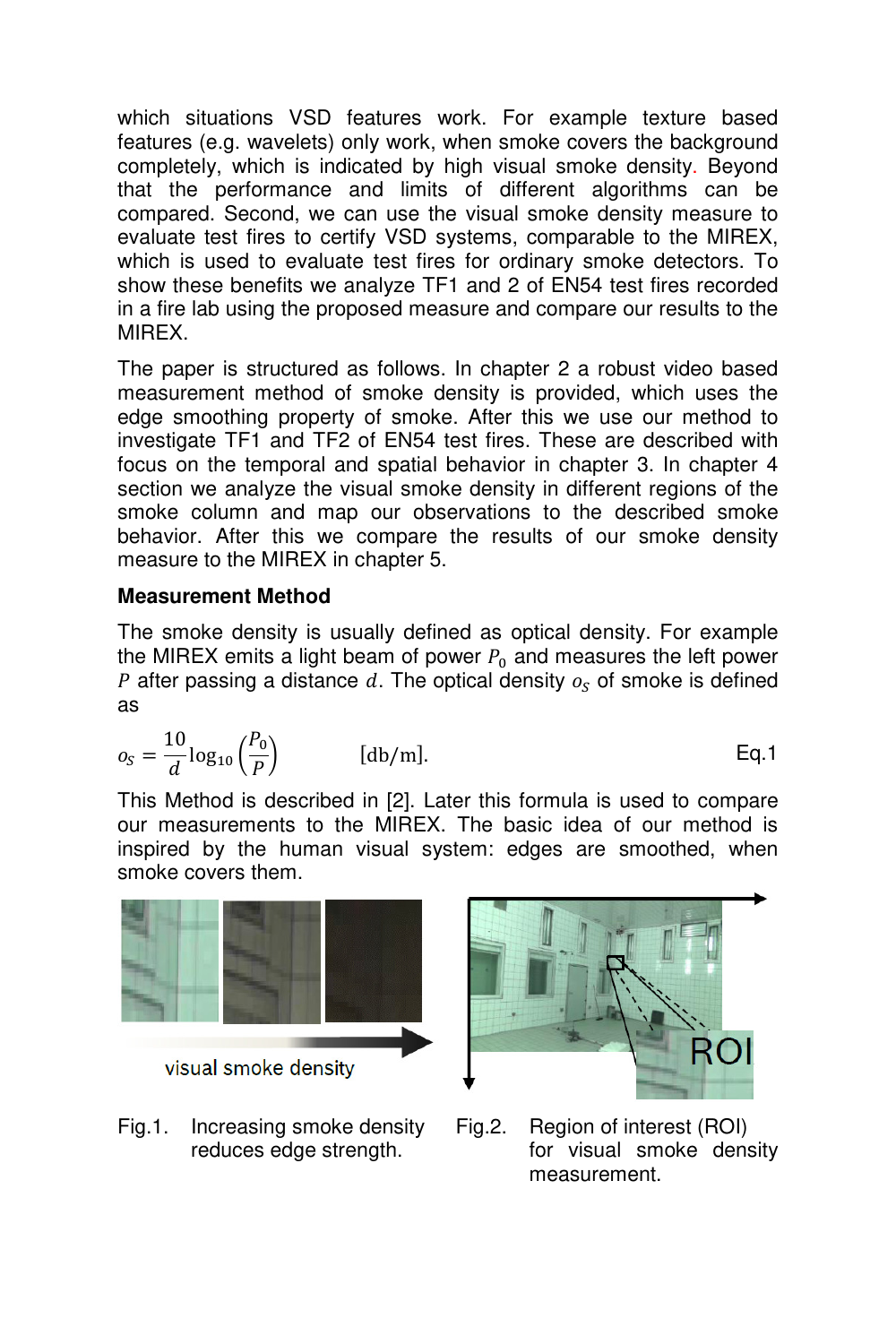which situations VSD features work. For example texture based features (e.g. wavelets) only work, when smoke covers the background completely, which is indicated by high visual smoke density. Beyond that the performance and limits of different algorithms can be compared. Second, we can use the visual smoke density measure to evaluate test fires to certify VSD systems, comparable to the MIREX, which is used to evaluate test fires for ordinary smoke detectors. To show these benefits we analyze TF1 and 2 of EN54 test fires recorded in a fire lab using the proposed measure and compare our results to the MIREX.

The paper is structured as follows. In chapter 2 a robust video based measurement method of smoke density is provided, which uses the edge smoothing property of smoke. After this we use our method to investigate TF1 and TF2 of EN54 test fires. These are described with focus on the temporal and spatial behavior in chapter 3. In chapter 4 section we analyze the visual smoke density in different regions of the smoke column and map our observations to the described smoke behavior. After this we compare the results of our smoke density measure to the MIREX in chapter 5.

## **Measurement Method**

The smoke density is usually defined as optical density. For example the MIREX emits a light beam of power  $P_0$  and measures the left power P after passing a distance  $d$ . The optical density  $o_S$  of smoke is defined as

$$
o_S = \frac{10}{d} \log_{10} \left(\frac{P_0}{P}\right) \qquad \qquad [\text{db/m}]. \qquad \qquad \text{Eq.1}
$$

This Method is described in [2]. Later this formula is used to compare our measurements to the MIREX. The basic idea of our method is inspired by the human visual system: edges are smoothed, when smoke covers them.



Fig.1. Increasing smoke density Fig.2. Region of interest (ROI)



reduces edge strength. **For** visual smoke density measurement.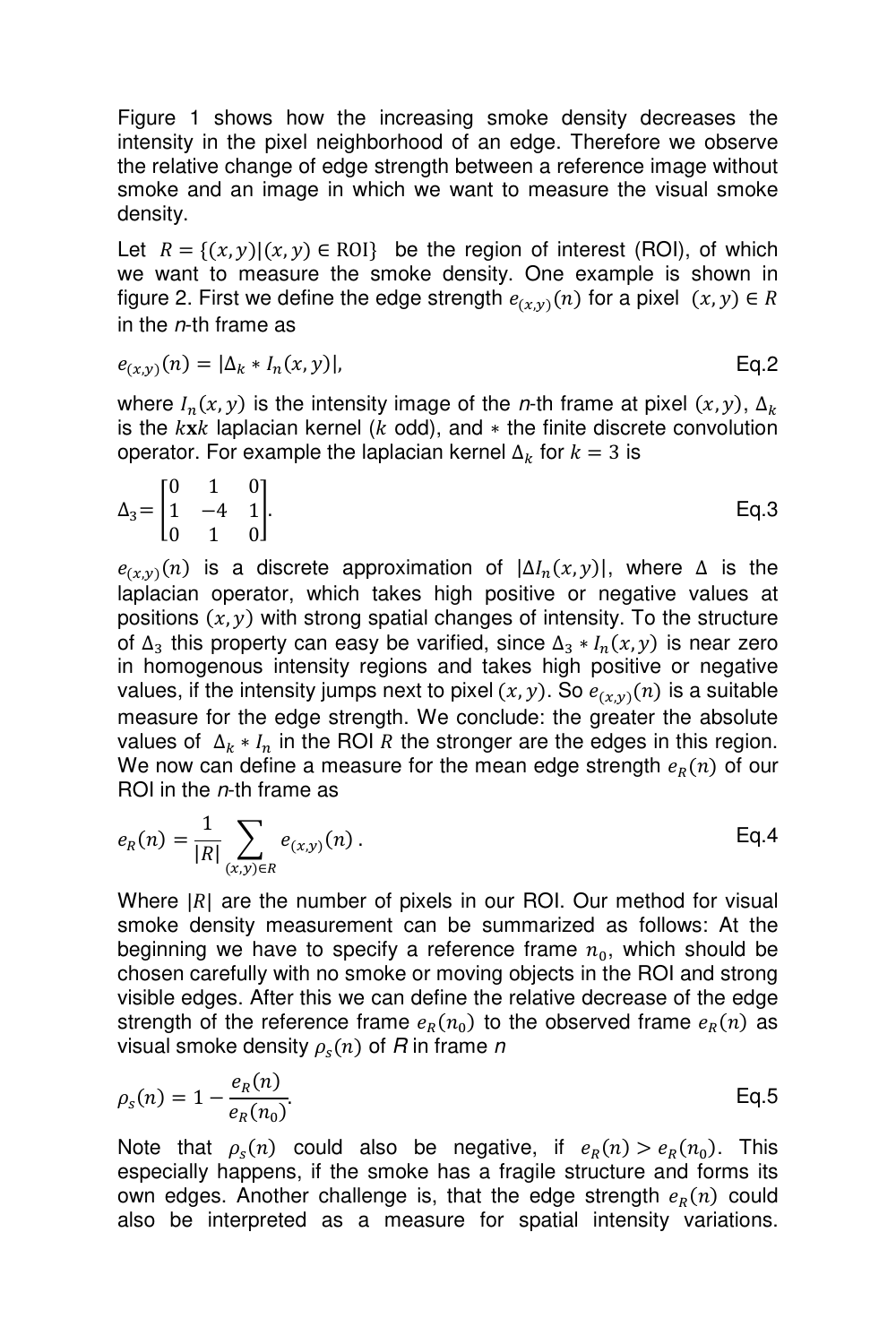Figure 1 shows how the increasing smoke density decreases the intensity in the pixel neighborhood of an edge. Therefore we observe the relative change of edge strength between a reference image without smoke and an image in which we want to measure the visual smoke density.

Let  $R = \{(x, y) | (x, y) \in \text{ROI}\}\)$  be the region of interest (ROI), of which we want to measure the smoke density. One example is shown in figure 2. First we define the edge strength  $e_{(x,y)}(n)$  for a pixel  $(x, y) \in R$ in the  $n$ -th frame as

$$
e_{(x,y)}(n) = |\Delta_k * I_n(x,y)|, \qquad \text{Eq.2}
$$

where  $I_n(x, y)$  is the intensity image of the *n*-th frame at pixel  $(x, y)$ ,  $\Delta_k$ is the  $kxk$  laplacian kernel ( $k$  odd), and  $*$  the finite discrete convolution operator. For example the laplacian kernel  $\Delta_k$  for  $k = 3$  is

$$
\Delta_3 = \begin{bmatrix} 0 & 1 & 0 \\ 1 & -4 & 1 \\ 0 & 1 & 0 \end{bmatrix} . \tag{Eq.3}
$$

 $e_{(x,y)}(n)$  is a discrete approximation of  $|\Delta I_n(x,y)|$ , where  $\Delta$  is the laplacian operator, which takes high positive or negative values at positions  $(x, y)$  with strong spatial changes of intensity. To the structure of  $\Delta_3$  this property can easy be varified, since  $\Delta_3 * I_n(x, y)$  is near zero in homogenous intensity regions and takes high positive or negative values, if the intensity jumps next to pixel  $(x, y)$ . So  $e_{(x, y)}(n)$  is a suitable measure for the edge strength. We conclude: the greater the absolute values of  $\Delta_k * I_n$  in the ROI R the stronger are the edges in this region. We now can define a measure for the mean edge strength  $e_R(n)$  of our ROI in the n-th frame as

$$
e_R(n) = \frac{1}{|R|} \sum_{(x,y)\in R} e_{(x,y)}(n).
$$
 Eq.4

Where  $|R|$  are the number of pixels in our ROI. Our method for visual smoke density measurement can be summarized as follows: At the beginning we have to specify a reference frame  $n_0$ , which should be chosen carefully with no smoke or moving objects in the ROI and strong visible edges. After this we can define the relative decrease of the edge strength of the reference frame  $e_R(n_0)$  to the observed frame  $e_R(n)$  as visual smoke density  $\rho_s(n)$  of  $R$  in frame  $n$ 

$$
\rho_s(n) = 1 - \frac{e_R(n)}{e_R(n_0)}.
$$
 Eq.5

Note that  $\rho_s(n)$  could also be negative, if  $e_R(n) > e_R(n_0)$ . This especially happens, if the smoke has a fragile structure and forms its own edges. Another challenge is, that the edge strength  $e_R(n)$  could also be interpreted as a measure for spatial intensity variations.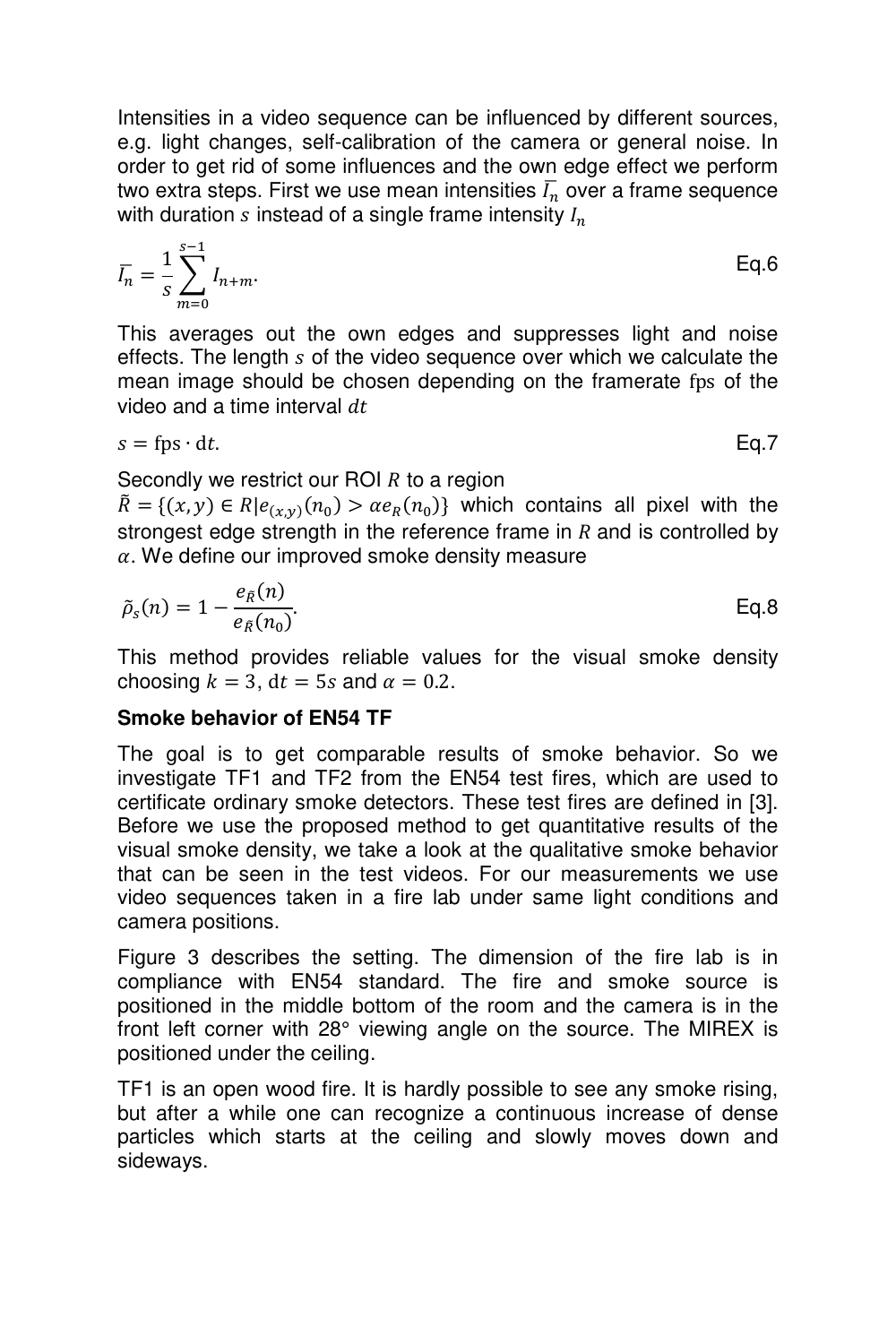Intensities in a video sequence can be influenced by different sources, e.g. light changes, self-calibration of the camera or general noise. In order to get rid of some influences and the own edge effect we perform two extra steps. First we use mean intensities  $\bar{I}_n$  over a frame sequence with duration  $s$  instead of a single frame intensity  $I_n$ 

$$
\bar{l}_n = \frac{1}{s} \sum_{m=0}^{s-1} l_{n+m}.
$$
 Eq.6

This averages out the own edges and suppresses light and noise effects. The length s of the video sequence over which we calculate the mean image should be chosen depending on the framerate fps of the video and a time interval  $dt$ 

$$
s = \text{fps} \cdot \text{dt}.\tag{Eq.7}
$$

Secondly we restrict our ROI  *to a region* 

 $\overline{R} = \{(x, y) \in R | e_{(x,y)}(n_0) > \alpha e_R(n_0) \}$  which contains all pixel with the strongest edge strength in the reference frame in  $R$  and is controlled by  $\alpha$ . We define our improved smoke density measure

$$
\tilde{\rho}_s(n) = 1 - \frac{e_{\tilde{R}}(n)}{e_{\tilde{R}}(n_0)}.
$$
 Eq.8

This method provides reliable values for the visual smoke density choosing  $k = 3$ ,  $dt = 5s$  and  $\alpha = 0.2$ .

#### **Smoke behavior of EN54 TF**

The goal is to get comparable results of smoke behavior. So we investigate TF1 and TF2 from the EN54 test fires, which are used to certificate ordinary smoke detectors. These test fires are defined in [3]. Before we use the proposed method to get quantitative results of the visual smoke density, we take a look at the qualitative smoke behavior that can be seen in the test videos. For our measurements we use video sequences taken in a fire lab under same light conditions and camera positions.

Figure 3 describes the setting. The dimension of the fire lab is in compliance with EN54 standard. The fire and smoke source is positioned in the middle bottom of the room and the camera is in the front left corner with 28° viewing angle on the source. The MIREX is positioned under the ceiling.

TF1 is an open wood fire. It is hardly possible to see any smoke rising, but after a while one can recognize a continuous increase of dense particles which starts at the ceiling and slowly moves down and sideways.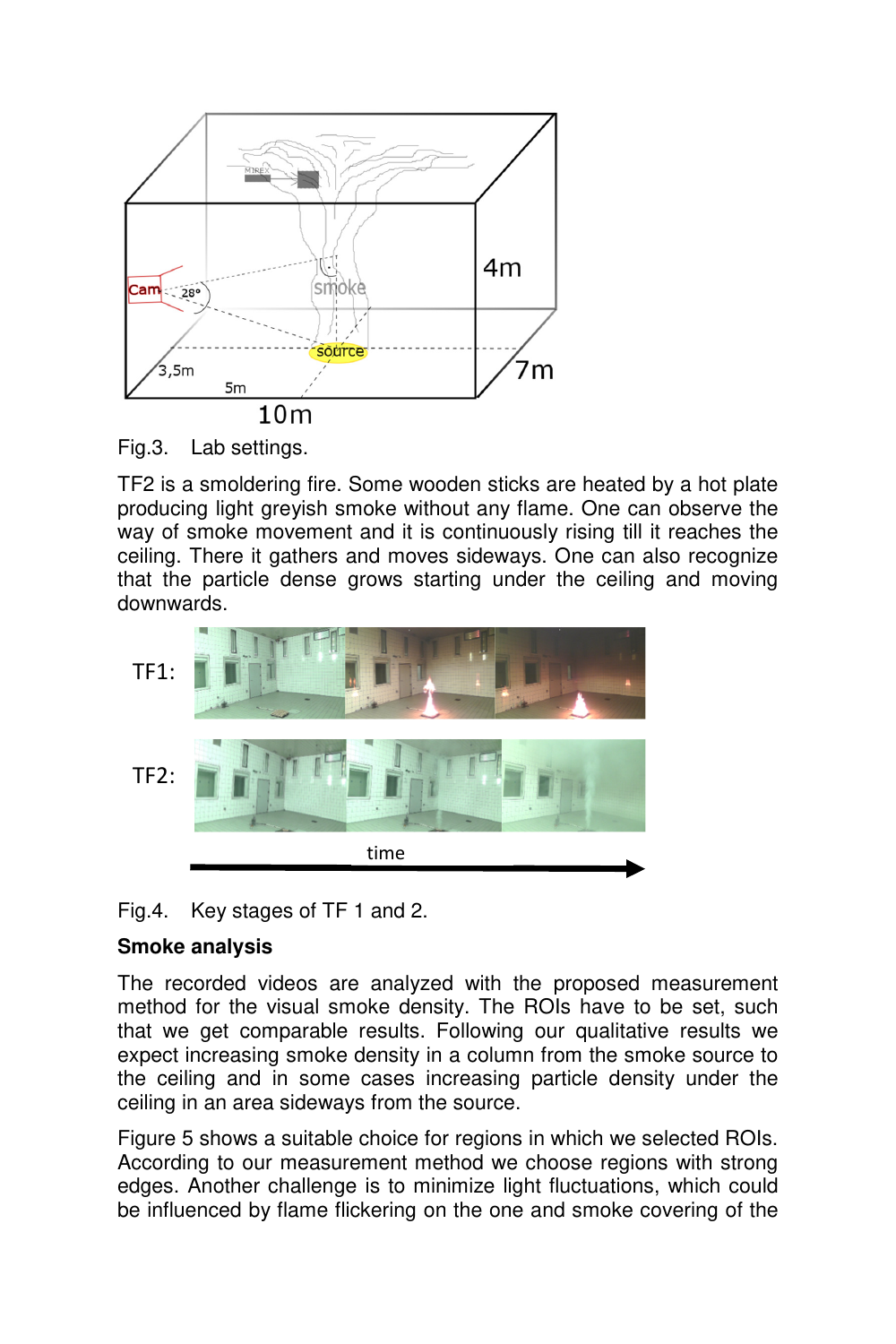

Fig.3. Lab settings.

TF2 is a smoldering fire. Some wooden sticks are heated by a hot plate producing light greyish smoke without any flame. One can observe the way of smoke movement and it is continuously rising till it reaches the ceiling. There it gathers and moves sideways. One can also recognize that the particle dense grows starting under the ceiling and moving downwards.



Fig.4. Key stages of TF 1 and 2.

## **Smoke analysis**

The recorded videos are analyzed with the proposed measurement method for the visual smoke density. The ROIs have to be set, such that we get comparable results. Following our qualitative results we expect increasing smoke density in a column from the smoke source to the ceiling and in some cases increasing particle density under the ceiling in an area sideways from the source.

Figure 5 shows a suitable choice for regions in which we selected ROIs. According to our measurement method we choose regions with strong edges. Another challenge is to minimize light fluctuations, which could be influenced by flame flickering on the one and smoke covering of the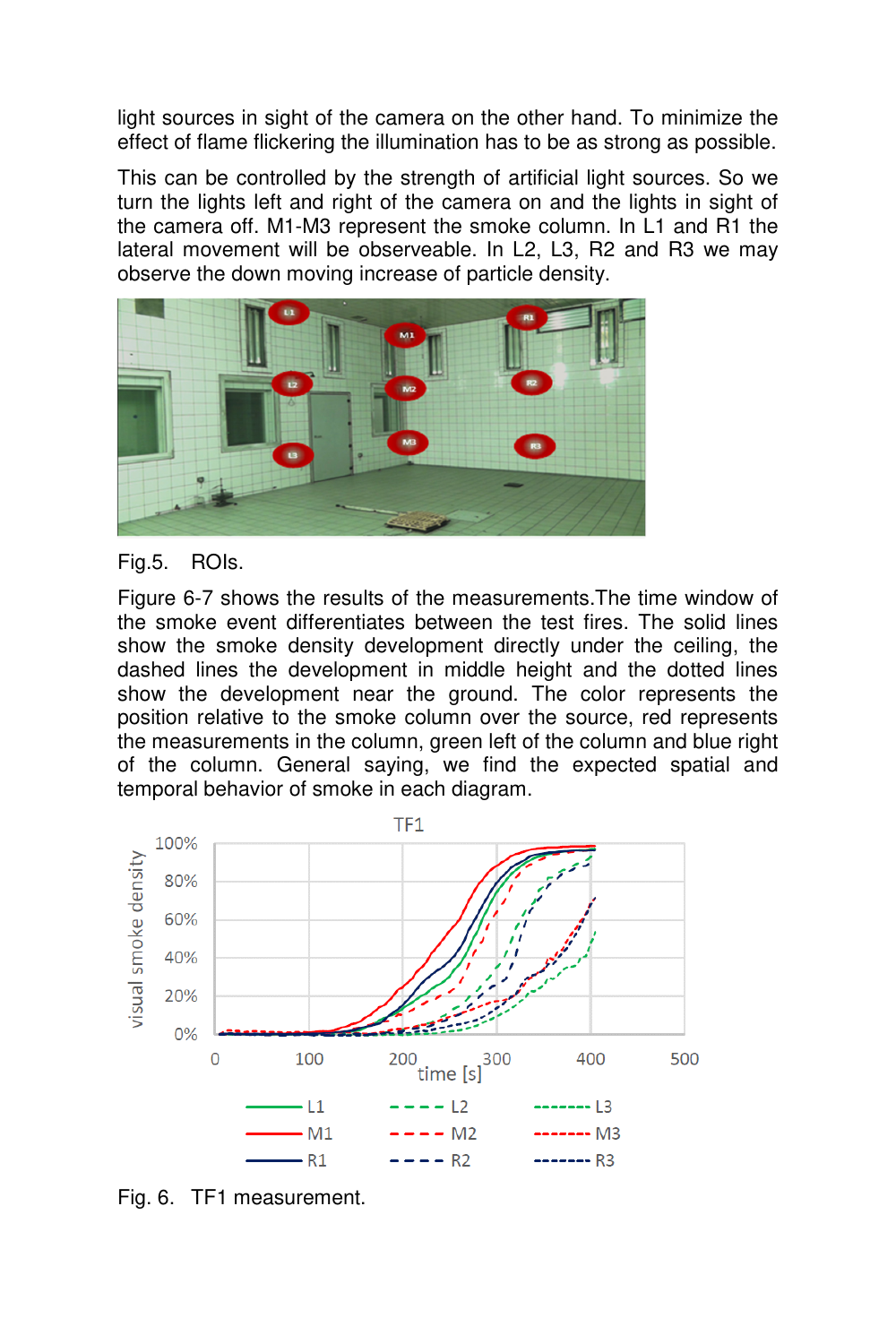light sources in sight of the camera on the other hand. To minimize the effect of flame flickering the illumination has to be as strong as possible.

This can be controlled by the strength of artificial light sources. So we turn the lights left and right of the camera on and the lights in sight of the camera off. M1-M3 represent the smoke column. In L1 and R1 the lateral movement will be observeable. In L2, L3, R2 and R3 we may observe the down moving increase of particle density.



## Fig.5. ROIs.

Figure 6-7 shows the results of the measurements.The time window of the smoke event differentiates between the test fires. The solid lines show the smoke density development directly under the ceiling, the dashed lines the development in middle height and the dotted lines show the development near the ground. The color represents the position relative to the smoke column over the source, red represents the measurements in the column, green left of the column and blue right of the column. General saying, we find the expected spatial and temporal behavior of smoke in each diagram.



Fig. 6. TF1 measurement.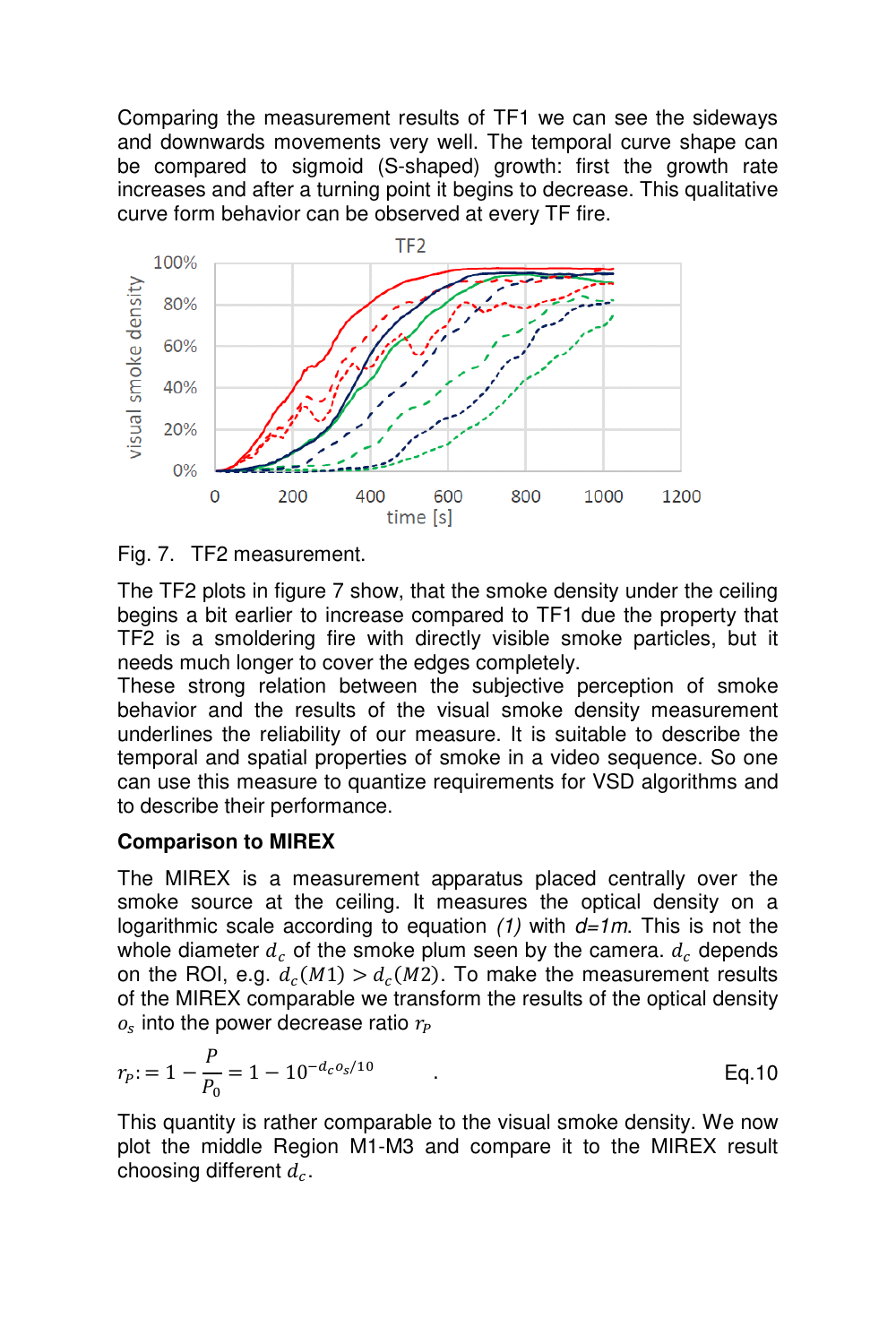Comparing the measurement results of TF1 we can see the sideways and downwards movements very well. The temporal curve shape can be compared to sigmoid (S-shaped) growth: first the growth rate increases and after a turning point it begins to decrease. This qualitative curve form behavior can be observed at every TF fire.





The TF2 plots in figure 7 show, that the smoke density under the ceiling begins a bit earlier to increase compared to TF1 due the property that TF2 is a smoldering fire with directly visible smoke particles, but it needs much longer to cover the edges completely.

These strong relation between the subjective perception of smoke behavior and the results of the visual smoke density measurement underlines the reliability of our measure. It is suitable to describe the temporal and spatial properties of smoke in a video sequence. So one can use this measure to quantize requirements for VSD algorithms and to describe their performance.

## **Comparison to MIREX**

The MIREX is a measurement apparatus placed centrally over the smoke source at the ceiling. It measures the optical density on a logarithmic scale according to equation  $(1)$  with  $d=1m$ . This is not the whole diameter  $d_c$  of the smoke plum seen by the camera.  $d_c$  depends on the ROI, e.g.  $d_c(M1) > d_c(M2)$ . To make the measurement results of the MIREX comparable we transform the results of the optical density  $o_s$  into the power decrease ratio  $r_P$ 

$$
r_P = 1 - \frac{P}{P_0} = 1 - 10^{-d_c o_s / 10}
$$
 Eq. 10

This quantity is rather comparable to the visual smoke density. We now plot the middle Region M1-M3 and compare it to the MIREX result choosing different  $d_c$ .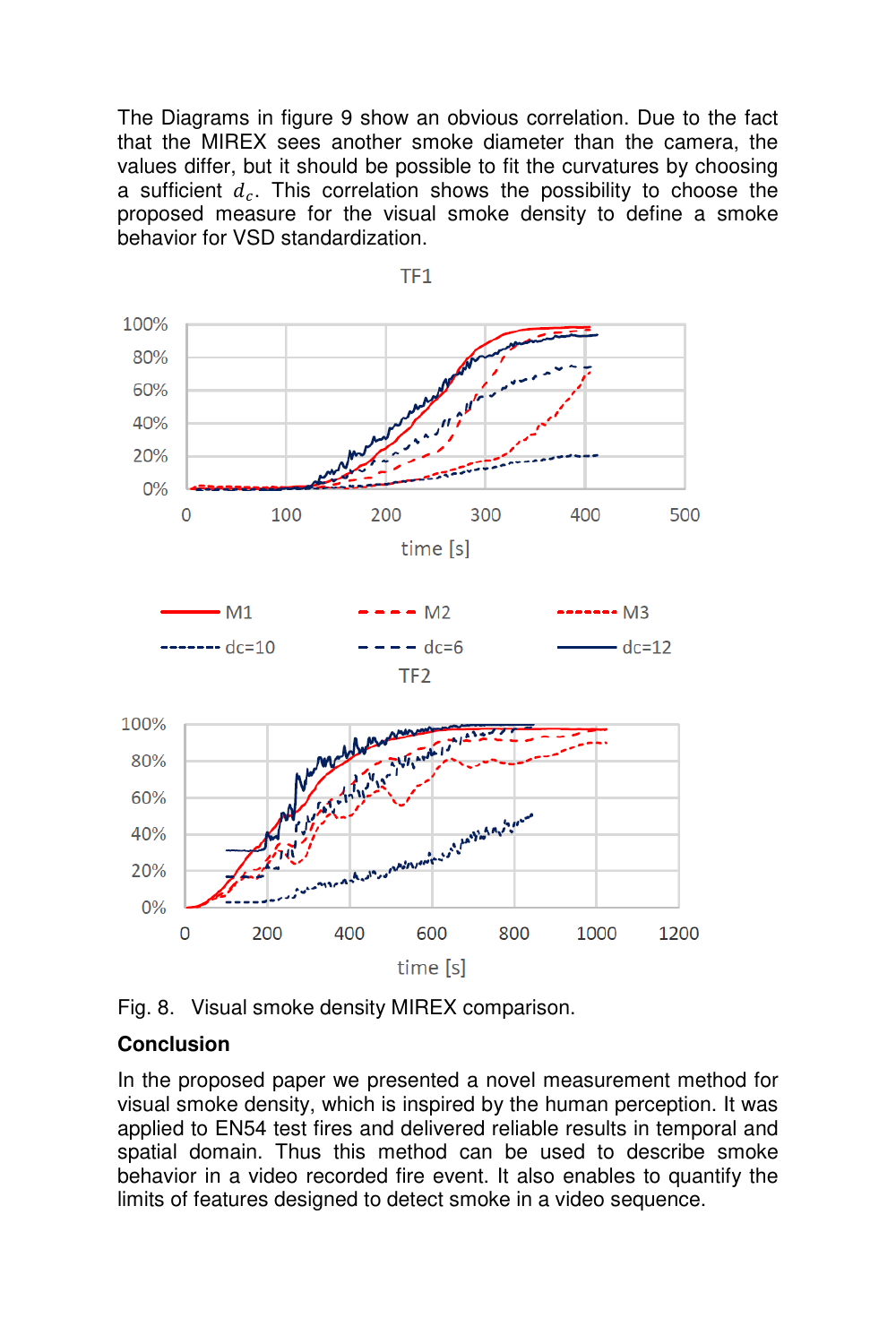The Diagrams in figure 9 show an obvious correlation. Due to the fact that the MIREX sees another smoke diameter than the camera, the values differ, but it should be possible to fit the curvatures by choosing a sufficient  $d_c$ . This correlation shows the possibility to choose the proposed measure for the visual smoke density to define a smoke behavior for VSD standardization.



TF<sub>1</sub>

Fig. 8. Visual smoke density MIREX comparison.

## **Conclusion**

In the proposed paper we presented a novel measurement method for visual smoke density, which is inspired by the human perception. It was applied to EN54 test fires and delivered reliable results in temporal and spatial domain. Thus this method can be used to describe smoke behavior in a video recorded fire event. It also enables to quantify the limits of features designed to detect smoke in a video sequence.